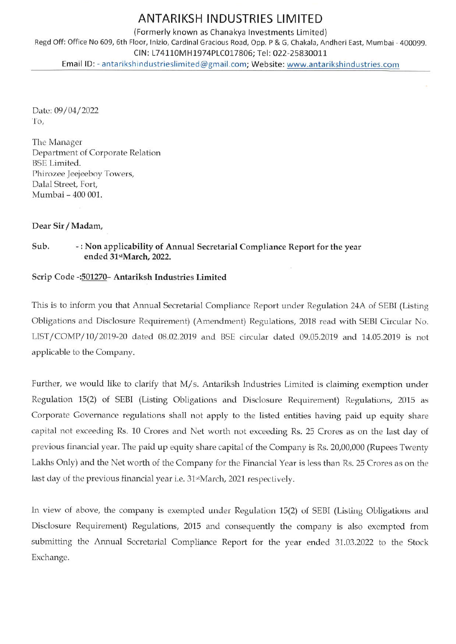## ANTARIKSH INDUSTRIES LIMITED

(Formerly known as Chanakya lnvestments Limited) Regd Off: Office No 609, 6th Floor, Inizio, Cardinal Gracious Road, Opp. P & G, Chakala, Andheri East, Mumbai - 400099. CIN: 174110MH1974P1C017806; Tel: 022,25830011 Email lD: antarikshindustrieslimited@gmail.com; Website: www.antarikshindustries.com

Date: 09/04/2022 lo,

The Manager Department of Corporate Relation BSE Limited. Phirozee Jeejeeboy Towers, Dalal Street, Fort, Mumbai - 400 001.

Dear Sir / Madam,

Sub. -: Non applicability of Annual Secretarial Compliance Report for the year ended 31stMarch, 2022.

## Scrip Code -: 501270 - Antariksh Industries Limited

This is to inform you that Armual Secretarial Compliance Report under Regulation 24A of SEBI (Listing Obligations and Disclosure Requirement) (Amendment) Regulations, 2018 read with SEBI Circular No. LIST /COMP/70/2019-20 dated 08.02.2019 and BSE circular dated 09.05.2019 and 14.05.2019 is not applicable to the Company.

Further, we would like to clarify that M/s. Antariksh Industries Limited is claiming exemption under Regulation 15(2) of SEBI (Listing Obligations ard Disclosure Requirement) Regulations, 2015 as Corporate Govemance regulations shall not apply to the listed entities having paid up equity share capital not exceeding Rs. 10 Crores and Net worth not exceeding Rs. 25 Crores as on the last day of previous financial year. The paid up equity share capital of the Company is Rs. 20,00,000 (Rupees Twenty Lakhs Only) and the Net worth of the Company for the Financial Year is less than Rs. 25 Crores as on the last day of the previous financial year i.e. 31<sup>st</sup>March, 2021 respectively.

In view of above, the company is exempted under Regulation 15(2) of SEBI (Listing Obligations and Disclosure Requirement) Regulations, 2015 and consequently the company is also exempted from submitting the Annual Secretarial Compliance Report for the year ended 31.03.2022 to the Stock Exchange.